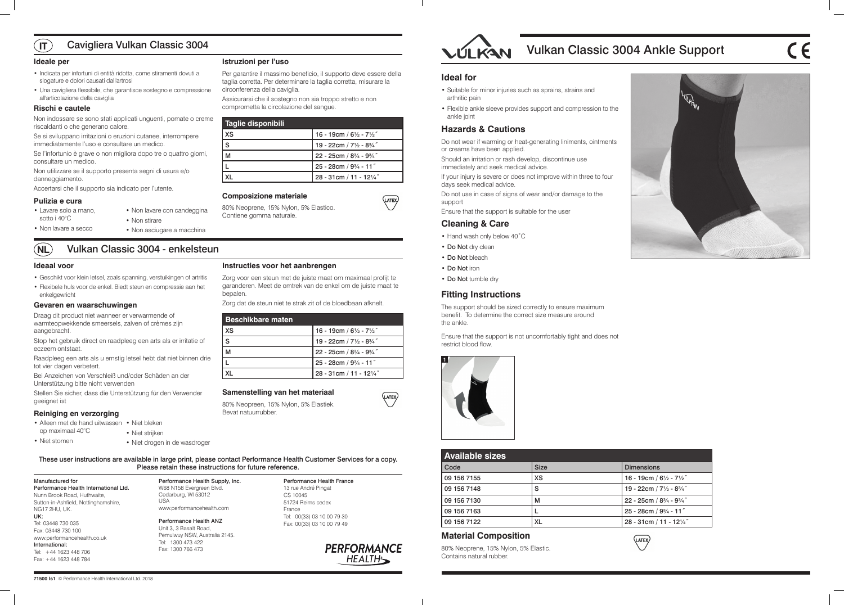# Vulkan Classic 3004 Ankle Support







| <b>Available sizes</b> |             |                                               |
|------------------------|-------------|-----------------------------------------------|
| Code                   | <b>Size</b> | <b>Dimensions</b>                             |
| 09 156 7155            | <b>XS</b>   | 16 - 19cm / $6\frac{1}{2}$ - $7\frac{1}{2}$ " |
| 09 156 7148            | S           | 19 - 22cm / 71/2 - 83/4"                      |
| 09 156 7130            | М           | 22 - 25cm / 83/4 - 93/4"                      |
| 09 156 7163            |             | 25 - 28cm / 93/4 - 11"                        |
| 09 156 7122            | <b>XL</b>   | 28 - 31cm / 11 - 121/4"                       |

# **Material Composition**

80% Neoprene, 15% Nylon, 5% Elastic. Contains natural rubber.

Manufactured for

Performance Health International Ltd.

These user instructions are available in large print, please contact Performance Health Customer Services for a copy. Please retain these instructions for future reference. Performance Health Supply, Inc.

Nunn Brook Road, Huthwaite, Sutton-in-Ashfield, Nottinghamshire,

NG17 2HU, UK.

UK:

Tel: 03448 730 035 Fax: 03448 730 100

www.performancehealth.co.uk

International: Tel: +44 1623 448 706 Fax: +44 1623 448 784

W68 N158 Evergreen Blvd. Cedarburg, WI 53012 USA www.performancehealth.com

Performance Health ANZ Unit 3, 3 Basalt Road, Pemulwuy NSW, Australia 2145. Tel: 1300 473 422 Fax: 1300 766 473

Performance Health France 13 rue André Pingat CS 10045 51724 Reims cedex France Tel: 00(33) 03 10 00 79 30 Fax: 00(33) 03 10 00 79 49



### **Ideal for**

- Suitable for minor injuries such as sprains, strains and arthritic pain
- Flexible ankle sleeve provides support and compression to the ankle joint

# **Hazards & Cautions**

Do not wear if warming or heat-generating liniments, ointments or creams have been applied.

Should an irritation or rash develop, discontinue use immediately and seek medical advice.

If your injury is severe or does not improve within three to four days seek medical advice.

### $\sqrt{1}$ Cavigliera Vulkan Classic 3004

Do not use in case of signs of wear and/or damage to the support

Ensure that the support is suitable for the user

### **Cleaning & Care**

- Hand wash only below 40˚C
- Do Not dry clean
- Do Not bleach
- Do Not iron

(LATEX)

(LATEX)

• Do Not tumble dry

# **Fitting Instructions**

The support should be sized correctly to ensure maximum benefit. To determine the correct size measure around the ankle.

Ensure that the support is not uncomfortably tight and does not restrict blood flow.



### **Ideale per**

- Indicata per infortuni di entità ridotta, come stiramenti dovuti a slogature e dolori causati dall'artrosi
- Una cavigliera flessibile, che garantisce sostegno e compressione all'articolazione della caviglia

### **Rischi e cautele**

- Alleen met de hand uitwassen Niet bleken op maximaal 40°C
	- Niet strijken
		- Niet drogen in de wasdroger

Non indossare se sono stati applicati unguenti, pomate o creme riscaldanti o che generano calore.

Se si sviluppano irritazioni o eruzioni cutanee, interrompere immediatamente l'uso e consultare un medico.

Se l'infortunio è grave o non migliora dopo tre o quattro giorni, consultare un medico.

Non utilizzare se il supporto presenta segni di usura e/o danneggiamento.

Accertarsi che il supporto sia indicato per l'utente.

### **Pulizia e cura**

### **Istruzioni per l'uso**

Per garantire il massimo beneficio, il supporto deve essere della taglia corretta. Per determinare la taglia corretta, misurare la circonferenza della caviglia.

Assicurarsi che il sostegno non sia troppo stretto e non comprometta la circolazione del sangue.

| Taglie disponibili |                                               |
|--------------------|-----------------------------------------------|
| <b>XS</b>          | 16 - 19cm / $6\frac{1}{2}$ - $7\frac{1}{2}$ " |
| S                  | 19 - 22cm / 71/2 - 83/4"                      |
| M                  | 22 - 25cm / $8\frac{3}{4}$ - $9\frac{3}{4}$ " |
|                    | 25 - 28cm / 93/4 - 11"                        |
|                    | 28 - 31cm / 11 - 121/4"                       |

### **Composizione materiale**

80% Neoprene, 15% Nylon, 5% Elastico. Contiene gomma naturale.

### **Ideaal voor**

- Geschikt voor klein letsel, zoals spanning, verstuikingen of artritis
- Flexibele huls voor de enkel. Biedt steun en compressie aan het enkelgewricht

### **Gevaren en waarschuwingen**

Draag dit product niet wanneer er verwarmende of warmteopwekkende smeersels, zalven of crèmes zijn aangebracht.

Stop het gebruik direct en raadpleeg een arts als er irritatie of eczeem ontstaat.

Raadpleeg een arts als u ernstig letsel hebt dat niet binnen drie tot vier dagen verbetert.

Bei Anzeichen von Verschleiß und/oder Schäden an der Unterstützung bitte nicht verwenden

### **NL** Vulkan Classic 3004 - enkelsteun

Stellen Sie sicher, dass die Unterstützung für den Verwender geeignet ist

### **Reiniging en verzorging**

# **Instructies voor het aanbrengen**

Zorg voor een steun met de juiste maat om maximaal profijt te garanderen. Meet de omtrek van de enkel om de juiste maat te bepalen.

Zorg dat de steun niet te strak zit of de bloedbaan afknelt.

| <b>Beschikbare maten</b> |                                               |
|--------------------------|-----------------------------------------------|
| <b>XS</b>                | 16 - 19cm / $6\frac{1}{2}$ - $7\frac{1}{2}$ " |
| S                        | 19 - 22cm / 71/2 - 83/4"                      |
|                          | 22 - 25cm / 83/4 - 93/4"                      |
|                          | $25 - 28$ cm / $9\frac{3}{4}$ - 11"           |
|                          | 28 - 31cm / 11 - 121/4"                       |

### **Samenstelling van het materiaal**

80% Neopreen, 15% Nylon, 5% Elastiek. Bevat natuurrubber.



- Lavare solo a mano, sotto i 40°C
- Non stirare
- Non lavare a secco
- Non asciugare a macchina

• Non lavare con candeggina

• Niet stomen